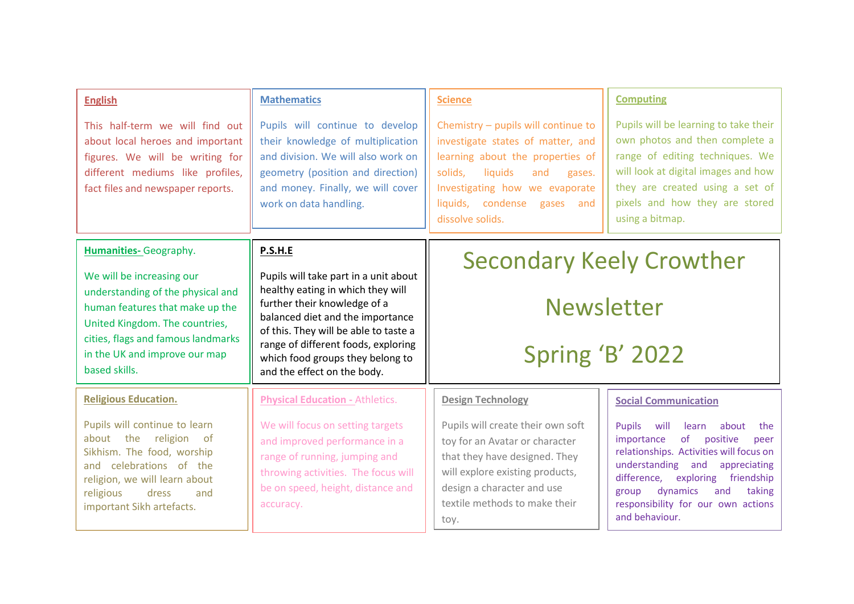| <b>English</b><br>This half-term we will find out<br>about local heroes and important<br>figures. We will be writing for<br>different mediums like profiles,<br>fact files and newspaper reports.                                                            | <b>Mathematics</b><br>Pupils will continue to develop<br>their knowledge of multiplication<br>and division. We will also work on<br>geometry (position and direction)<br>and money. Finally, we will cover<br>work on data handling.                                                                         | <b>Science</b><br>Chemistry - pupils will continue to<br>investigate states of matter, and<br>learning about the properties of<br>solids,<br>liquids<br>and<br>gases.<br>Investigating how we evaporate<br>liquids, condense gases<br>and  | <b>Computing</b><br>Pupils will be learning to take their<br>own photos and then complete a<br>range of editing techniques. We<br>will look at digital images and how<br>they are created using a set of<br>pixels and how they are stored                                                                                                                                                                                                                                                                                                                              |
|--------------------------------------------------------------------------------------------------------------------------------------------------------------------------------------------------------------------------------------------------------------|--------------------------------------------------------------------------------------------------------------------------------------------------------------------------------------------------------------------------------------------------------------------------------------------------------------|--------------------------------------------------------------------------------------------------------------------------------------------------------------------------------------------------------------------------------------------|-------------------------------------------------------------------------------------------------------------------------------------------------------------------------------------------------------------------------------------------------------------------------------------------------------------------------------------------------------------------------------------------------------------------------------------------------------------------------------------------------------------------------------------------------------------------------|
|                                                                                                                                                                                                                                                              |                                                                                                                                                                                                                                                                                                              | dissolve solids.                                                                                                                                                                                                                           | using a bitmap.                                                                                                                                                                                                                                                                                                                                                                                                                                                                                                                                                         |
| <b>Humanities-</b> Geography.<br>We will be increasing our<br>understanding of the physical and<br>human features that make up the<br>United Kingdom. The countries,<br>cities, flags and famous landmarks<br>in the UK and improve our map<br>based skills. | P.S.H.E<br>Pupils will take part in a unit about<br>healthy eating in which they will<br>further their knowledge of a<br>balanced diet and the importance<br>of this. They will be able to taste a<br>range of different foods, exploring<br>which food groups they belong to<br>and the effect on the body. | <b>Secondary Keely Crowther</b><br><b>Newsletter</b><br>Spring 'B' 2022                                                                                                                                                                    |                                                                                                                                                                                                                                                                                                                                                                                                                                                                                                                                                                         |
| <b>Religious Education.</b><br>Pupils will continue to learn<br>about the religion of<br>Sikhism. The food, worship<br>and celebrations of the<br>religion, we will learn about<br>religious<br>dress<br>and<br>important Sikh artefacts.                    | <b>Physical Education - Athletics.</b><br>We will focus on setting targets<br>and improved performance in a<br>range of running, jumping and<br>throwing activities. The focus will<br>be on speed, height, distance and<br>accuracy.                                                                        | <b>Design Technology</b><br>Pupils will create their own soft<br>toy for an Avatar or character<br>that they have designed. They<br>will explore existing products,<br>design a character and use<br>textile methods to make their<br>toy. | <b>Social Communication</b><br>will<br><b>Pupils</b><br>about<br>learn<br>the<br>of the position of the position of the position of the position of the position of the position of the position $\mathbf{p}$ of the position of the position of the position of the position of the position of the position of th<br>positive<br>importance<br>peer<br>relationships. Activities will focus on<br>understanding and<br>appreciating<br>difference, exploring friendship<br>dynamics<br>group<br>and<br>taking<br>responsibility for our own actions<br>and behaviour. |